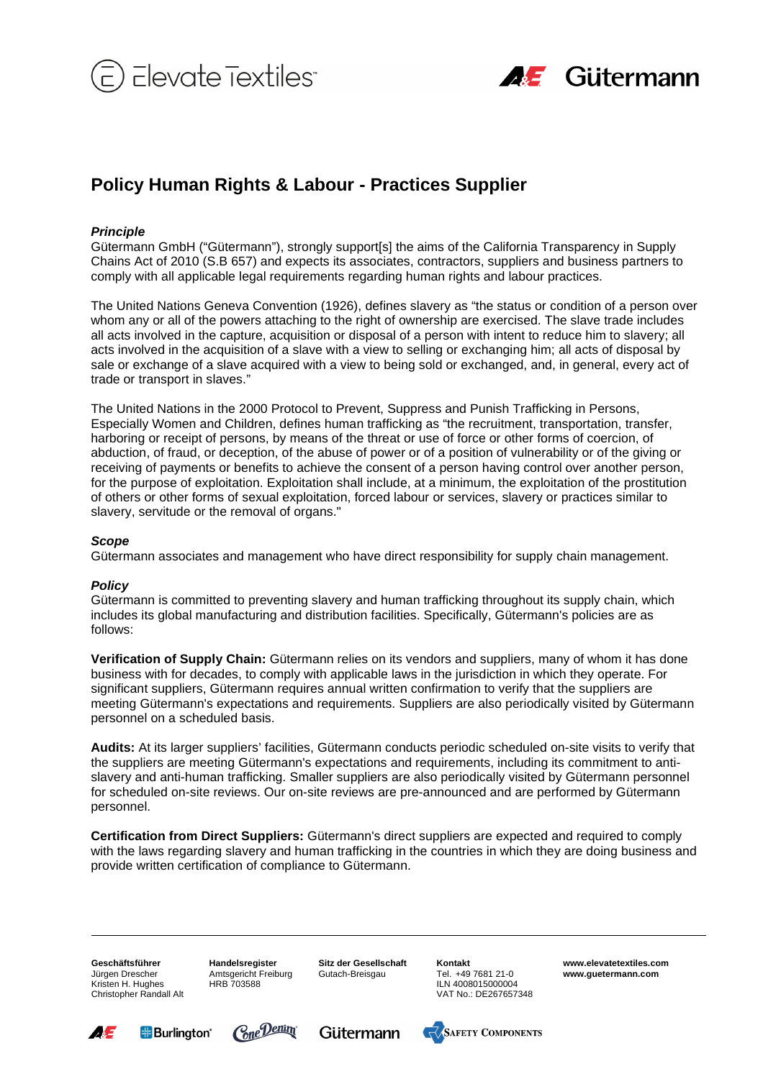



## **Policy Human Rights & Labour - Practices Supplier**

## **Principle**

Gütermann GmbH ("Gütermann"), strongly support[s] the aims of the California Transparency in Supply Chains Act of 2010 (S.B 657) and expects its associates, contractors, suppliers and business partners to comply with all applicable legal requirements regarding human rights and labour practices.

The United Nations Geneva Convention (1926), defines slavery as "the status or condition of a person over whom any or all of the powers attaching to the right of ownership are exercised. The slave trade includes all acts involved in the capture, acquisition or disposal of a person with intent to reduce him to slavery; all acts involved in the acquisition of a slave with a view to selling or exchanging him; all acts of disposal by sale or exchange of a slave acquired with a view to being sold or exchanged, and, in general, every act of trade or transport in slaves."

The United Nations in the 2000 Protocol to Prevent, Suppress and Punish Trafficking in Persons, Especially Women and Children, defines human trafficking as "the recruitment, transportation, transfer, harboring or receipt of persons, by means of the threat or use of force or other forms of coercion, of abduction, of fraud, or deception, of the abuse of power or of a position of vulnerability or of the giving or receiving of payments or benefits to achieve the consent of a person having control over another person, for the purpose of exploitation. Exploitation shall include, at a minimum, the exploitation of the prostitution of others or other forms of sexual exploitation, forced labour or services, slavery or practices similar to slavery, servitude or the removal of organs."

## **Scope**

Gütermann associates and management who have direct responsibility for supply chain management.

## **Policy**

Gütermann is committed to preventing slavery and human trafficking throughout its supply chain, which includes its global manufacturing and distribution facilities. Specifically, Gütermann's policies are as follows:

**Verification of Supply Chain:** Gütermann relies on its vendors and suppliers, many of whom it has done business with for decades, to comply with applicable laws in the jurisdiction in which they operate. For significant suppliers, Gütermann requires annual written confirmation to verify that the suppliers are meeting Gütermann's expectations and requirements. Suppliers are also periodically visited by Gütermann personnel on a scheduled basis.

**Audits:** At its larger suppliers' facilities, Gütermann conducts periodic scheduled on-site visits to verify that the suppliers are meeting Gütermann's expectations and requirements, including its commitment to antislavery and anti-human trafficking. Smaller suppliers are also periodically visited by Gütermann personnel for scheduled on-site reviews. Our on-site reviews are pre-announced and are performed by Gütermann personnel.

**Certification from Direct Suppliers:** Gütermann's direct suppliers are expected and required to comply with the laws regarding slavery and human trafficking in the countries in which they are doing business and provide written certification of compliance to Gütermann.

**Geschäftsführer**  Jürgen Drescher Kristen H. Hughes Christopher Randall Alt **Handelsregister**  Amtsgericht Freiburg HRB 703588

**Sitz der Gesellschaft**  Gutach-Breisgau

**Kontakt**  Tel. +49 7681 21-0 ILN 4008015000004 VAT No.: DE267657348 **www.elevatetextiles.com www.guetermann.com**